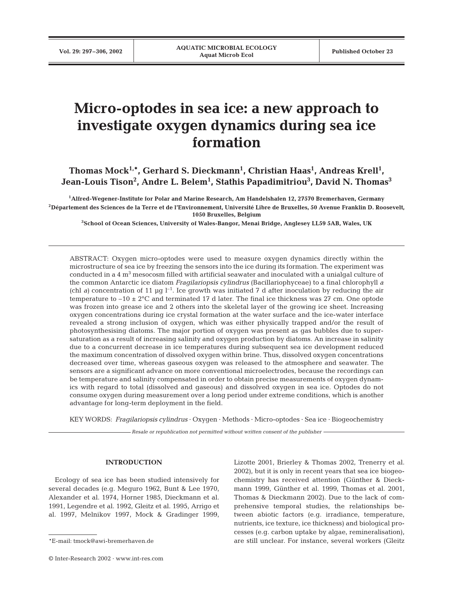# **Micro-optodes in sea ice: a new approach to investigate oxygen dynamics during sea ice formation**

Thomas Mock<sup>1,\*</sup>, Gerhard S. Dieckmann<sup>1</sup>, Christian Haas<sup>1</sup>, Andreas Krell<sup>1</sup>, Jean-Louis Tison<sup>2</sup>, Andre L. Belem<sup>1</sup>, Stathis Papadimitriou<sup>3</sup>, David N. Thomas<sup>3</sup>

**1Alfred-Wegener-Institute for Polar and Marine Research, Am Handelshafen 12, 27570 Bremerhaven, Germany 2Département des Sciences de la Terre et de l'Environnement, Université Libre de Bruxelles, 50 Avenue Franklin D. Roosevelt, 1050 Bruxelles, Belgium**

**3School of Ocean Sciences, University of Wales-Bangor, Menai Bridge, Anglesey LL59 5AB, Wales, UK**

ABSTRACT: Oxygen micro-optodes were used to measure oxygen dynamics directly within the microstructure of sea ice by freezing the sensors into the ice during its formation. The experiment was conducted in a  $4 \text{ m}^3$  mesocosm filled with artificial seawater and inoculated with a unialgal culture of the common Antarctic ice diatom *Fragilariopsis cylindrus* (Bacillariophyceae) to a final chlorophyll *a* (chl *a*) concentration of 11 µg  $l^{-1}$ . Ice growth was initiated 7 d after inoculation by reducing the air temperature to  $-10 \pm 2^{\circ}$ C and terminated 17 d later. The final ice thickness was 27 cm. One optode was frozen into grease ice and 2 others into the skeletal layer of the growing ice sheet. Increasing oxygen concentrations during ice crystal formation at the water surface and the ice-water interface revealed a strong inclusion of oxygen, which was either physically trapped and/or the result of photosynthesising diatoms. The major portion of oxygen was present as gas bubbles due to supersaturation as a result of increasing salinity and oxygen production by diatoms. An increase in salinity due to a concurrent decrease in ice temperatures during subsequent sea ice development reduced the maximum concentration of dissolved oxygen within brine. Thus, dissolved oxygen concentrations decreased over time, whereas gaseous oxygen was released to the atmosphere and seawater. The sensors are a significant advance on more conventional microelectrodes, because the recordings can be temperature and salinity compensated in order to obtain precise measurements of oxygen dynamics with regard to total (dissolved and gaseous) and dissolved oxygen in sea ice. Optodes do not consume oxygen during measurement over a long period under extreme conditions, which is another advantage for long-term deployment in the field.

KEY WORDS: *Fragilariopsis cylindrus* · Oxygen · Methods · Micro-optodes · Sea ice · Biogeochemistry

*Resale or republication not permitted without written consent of the publisher*

## **INTRODUCTION**

Ecology of sea ice has been studied intensively for several decades (e.g. Meguro 1962, Bunt & Lee 1970, Alexander et al. 1974, Horner 1985, Dieckmann et al. 1991, Legendre et al. 1992, Gleitz et al. 1995, Arrigo et al. 1997, Melnikov 1997, Mock & Gradinger 1999,

© Inter-Research 2002 · www.int-res.com

Lizotte 2001, Brierley & Thomas 2002, Trenerry et al. 2002), but it is only in recent years that sea ice biogeochemistry has received attention (Günther & Dieckmann 1999, Günther et al. 1999, Thomas et al. 2001, Thomas & Dieckmann 2002). Due to the lack of comprehensive temporal studies, the relationships between abiotic factors (e.g. irradiance, temperature, nutrients, ice texture, ice thickness) and biological processes (e.g. carbon uptake by algae, remineralisation), are still unclear. For instance, several workers (Gleitz

<sup>\*</sup>E-mail: tmock@awi-bremerhaven.de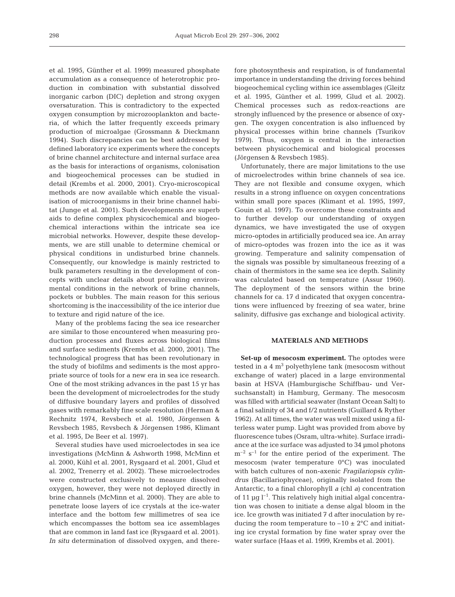et al. 1995, Günther et al. 1999) measured phosphate accumulation as a consequence of heterotrophic production in combination with substantial dissolved inorganic carbon (DIC) depletion and strong oxygen oversaturation. This is contradictory to the expected oxygen consumption by microzooplankton and bacteria, of which the latter frequently exceeds primary production of microalgae (Grossmann & Dieckmann 1994). Such discrepancies can be best addressed by defined laboratory ice experiments where the concepts of brine channel architecture and internal surface area as the basis for interactions of organisms, colonisation and biogeochemical processes can be studied in detail (Krembs et al. 2000, 2001). Cryo-microscopical methods are now available which enable the visualisation of microorganisms in their brine channel habitat (Junge et al. 2001). Such developments are superb aids to define complex physicochemical and biogeochemical interactions within the intricate sea ice microbial networks. However, despite these developments, we are still unable to determine chemical or physical conditions in undisturbed brine channels. Consequently, our knowledge is mainly restricted to bulk parameters resulting in the development of concepts with unclear details about prevailing environmental conditions in the network of brine channels, pockets or bubbles. The main reason for this serious shortcoming is the inaccessibility of the ice interior due to texture and rigid nature of the ice.

Many of the problems facing the sea ice researcher are similar to those encountered when measuring production processes and fluxes across biological films and surface sediments (Krembs et al. 2000, 2001). The technological progress that has been revolutionary in the study of biofilms and sediments is the most appropriate source of tools for a new era in sea ice research. One of the most striking advances in the past 15 yr has been the development of microelectrodes for the study of diffusive boundary layers and profiles of dissolved gases with remarkably fine scale resolution (Herman & Rechnitz 1974, Revsbech et al. 1980, Jörgensen & Revsbech 1985, Revsbech & Jörgensen 1986, Klimant et al. 1995, De Beer et al. 1997).

Several studies have used microelectodes in sea ice investigations (McMinn & Ashworth 1998, McMinn et al. 2000, Kühl et al. 2001, Rysgaard et al. 2001, Glud et al. 2002, Trenerry et al. 2002). These microelectrodes were constructed exclusively to measure dissolved oxygen, however, they were not deployed directly in brine channels (McMinn et al. 2000). They are able to penetrate loose layers of ice crystals at the ice-water interface and the bottom few millimetres of sea ice which encompasses the bottom sea ice assemblages that are common in land fast ice (Rysgaard et al. 2001). *In situ* determination of dissolved oxygen, and therefore photosynthesis and respiration, is of fundamental importance in understanding the driving forces behind biogeochemical cycling within ice assemblages (Gleitz et al. 1995, Günther et al. 1999, Glud et al. 2002). Chemical processes such as redox-reactions are strongly influenced by the presence or absence of oxygen. The oxygen concentration is also influenced by physical processes within brine channels (Tsurikov 1979). Thus, oxygen is central in the interaction between physicochemical and biological processes (Jörgensen & Revsbech 1985).

Unfortunately, there are major limitations to the use of microelectrodes within brine channels of sea ice. They are not flexible and consume oxygen, which results in a strong influence on oxygen concentrations within small pore spaces (Klimant et al. 1995, 1997, Gouin et al. 1997). To overcome these constraints and to further develop our understanding of oxygen dynamics, we have investigated the use of oxygen micro-optodes in artificially produced sea ice. An array of micro-optodes was frozen into the ice as it was growing. Temperature and salinity compensation of the signals was possible by simultaneous freezing of a chain of thermistors in the same sea ice depth. Salinity was calculated based on temperature (Assur 1960). The deployment of the sensors within the brine channels for ca. 17 d indicated that oxygen concentrations were influenced by freezing of sea water, brine salinity, diffusive gas exchange and biological activity.

# **MATERIALS AND METHODS**

**Set-up of mesocosm experiment.** The optodes were tested in a  $4 \text{ m}^3$  polyethylene tank (mesocosm without exchange of water) placed in a large environmental basin at HSVA (Hamburgische Schiffbau- und Versuchsanstalt) in Hamburg, Germany. The mesocosm was filled with artificial seawater (Instant Ocean Salt) to a final salinity of 34 and f/2 nutrients (Guillard & Ryther 1962). At all times, the water was well mixed using a filterless water pump. Light was provided from above by fluorescence tubes (Osram, ultra-white). Surface irradiance at the ice surface was adjusted to 34 µmol photons  $m^{-2}$  s<sup>-1</sup> for the entire period of the experiment. The mesocosm (water temperature 0°C) was inoculated with batch cultures of non-axenic *Fragilariopsis cylindrus* (Bacillariophyceae), originally isolated from the Antarctic, to a final chlorophyll *a* (chl *a*) concentration of 11  $\mu$ g l<sup>-1</sup>. This relatively high initial algal concentration was chosen to initiate a dense algal bloom in the ice. Ice growth was initiated 7 d after inoculation by reducing the room temperature to  $-10 \pm 2$ °C and initiating ice crystal formation by fine water spray over the water surface (Haas et al. 1999, Krembs et al. 2001).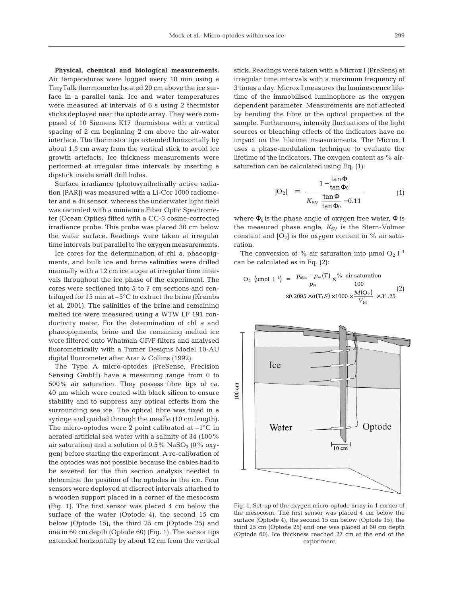**Physical, chemical and biological measurements.** Air temperatures were logged every 10 min using a TinyTalk thermometer located 20 cm above the ice surface in a parallel tank. Ice and water temperatures were measured at intervals of 6 s using 2 thermistor sticks deployed near the optode array. They were composed of 10 Siemens K17 thermistors with a vertical spacing of 2 cm beginning 2 cm above the air-water interface. The thermistor tips extended horizontally by about 1.5 cm away from the vertical stick to avoid ice growth artefacts. Ice thickness measurements were performed at irregular time intervals by inserting a dipstick inside small drill holes.

Surface irradiance (photosynthetically active radiation [PAR]) was measured with a Li-Cor 1000 radiometer and a  $4\pi$  sensor, whereas the underwater light field was recorded with a miniature Fiber Optic Spectrometer (Ocean Optics) fitted with a CC-3 cosine-corrected irradiance probe. This probe was placed 30 cm below the water surface. Readings were taken at irregular time intervals but parallel to the oxygen measurements.

Ice cores for the determination of chl *a*, phaeopigments, and bulk ice and brine salinities were drilled manually with a 12 cm ice auger at irregular time intervals throughout the ice phase of the experiment. The cores were sectioned into 5 to 7 cm sections and centrifuged for 15 min at –5°C to extract the brine (Krembs et al. 2001). The salinities of the brine and remaining melted ice were measured using a WTW LF 191 conductivity meter. For the determination of chl *a* and phaeopigments, brine and the remaining melted ice were filtered onto Whatman GF/F filters and analysed fluorometrically with a Turner Designs Model 10-AU digital fluorometer after Arar & Collins (1992).

The Type A micro-optodes (PreSense, Precision Sensing GmbH) have a measuring range from 0 to 500% air saturation. They possess fibre tips of ca. 40 µm which were coated with black silicon to ensure stability and to suppress any optical effects from the surrounding sea ice. The optical fibre was fixed in a syringe and guided through the needle (10 cm length). The micro-optodes were 2 point calibrated at  $-1$ °C in aerated artificial sea water with a salinity of 34 (100% air saturation) and a solution of  $0.5\%$  NaSO<sub>3</sub> (0% oxygen) before starting the experiment. A re-calibration of the optodes was not possible because the cables had to be severed for the thin section analysis needed to determine the position of the optodes in the ice. Four sensors were deployed at discreet intervals attached to a wooden support placed in a corner of the mesocosm (Fig. 1). The first sensor was placed 4 cm below the surface of the water (Optode 4), the second 15 cm below (Optode 15), the third 25 cm (Optode 25) and one in 60 cm depth (Optode 60) (Fig. 1). The sensor tips extended horizontally by about 12 cm from the vertical

stick. Readings were taken with a Microx I (PreSens) at irregular time intervals with a maximum frequency of 3 times a day. Microx I measures the luminescence lifetime of the immobilised luminophore as the oxygen dependent parameter. Measurements are not affected by bending the fibre or the optical properties of the sample. Furthermore, intensity fluctuations of the light sources or bleaching effects of the indicators have no impact on the lifetime measurements. The Microx I uses a phase-modulation technique to evaluate the lifetime of the indicators. The oxygen content as % airsaturation can be calculated using Eq. (1):

$$
[O_2] = \frac{1 - \frac{\tan \Phi}{\tan \Phi_0}}{K_{SV}\left\{\frac{\tan \Phi}{\tan \Phi_0} - 0.11\right\}}
$$
(1)

where  $\Phi_0$  is the phase angle of oxygen free water,  $\Phi$  is the measured phase angle,  $K_{SV}$  is the Stern-Volmer constant and  $[O_2]$  is the oxygen content in % air saturation.

The conversion of % air saturation into  $\mu$ mol O<sub>2</sub> l<sup>-1</sup> can be calculated as in Eq. (2):

O<sub>2</sub> (µmol 1<sup>-1</sup>) = 
$$
\left[ \frac{p_{\text{atm}} - p_w(T)}{p_N} \times \frac{\% \text{ air saturation}}{100} \times 0.2095 \times \alpha(T; S) \times 1000 \times \frac{M(O_2)}{V_M} \right] \times 31.25
$$
 (2)



Fig. 1. Set-up of the oxygen micro-optode array in 1 corner of the mesocosm. The first sensor was placed 4 cm below the surface (Optode 4), the second 15 cm below (Optode 15), the third 25 cm (Optode 25) and one was placed at 60 cm depth (Optode 60). Ice thickness reached 27 cm at the end of the experiment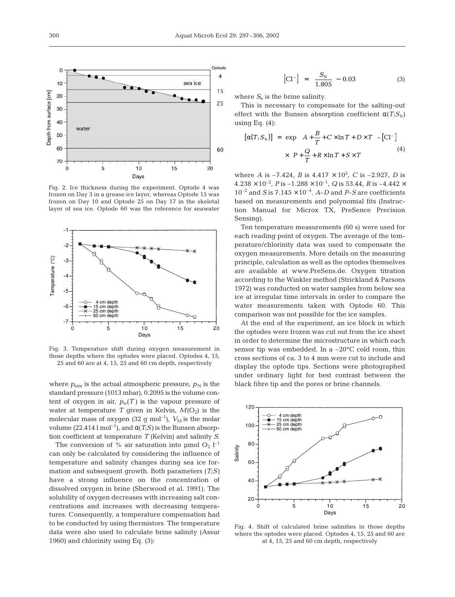

Fig. 2. Ice thickness during the experiment. Optode 4 was frozen on Day 3 in a grease ice layer, whereas Optode 15 was frozen on Day 10 and Optode 25 on Day 17 in the skeletal layer of sea ice. Optode 60 was the reference for seawater



Fig. 3. Temperature shift during oxygen measurement in those depths where the optodes were placed. Optodes 4, 15, 25 and 60 are at 4, 15, 25 and 60 cm depth, respectively

where  $p_{\text{atm}}$  is the actual atmospheric pressure,  $p_N$  is the standard pressure (1013 mbar), 0.2095 is the volume content of oxygen in air,  $p_w(T)$  is the vapour pressure of water at temperature *T* given in Kelvin,  $M(O_2)$  is the molecular mass of oxygen  $(32 \text{ g mol}^{-1})$ ,  $V_M$  is the molar volume (22.414 l mol<sup>-1</sup>), and  $α(T;S)$  is the Bunsen absorption coefficient at temperature *T* (Kelvin) and salinity *S*.

The conversion of % air saturation into  $\mu$ mol O<sub>2</sub> l<sup>-1</sup> can only be calculated by considering the influence of temperature and salinity changes during sea ice formation and subsequent growth. Both parameters (*T*;*S)* have a strong influence on the concentration of dissolved oxygen in brine (Sherwood et al. 1991). The solubility of oxygen decreases with increasing salt concentrations and increases with decreasing temperatures. Consequently, a temperature compensation had to be conducted by using thermistors. The temperature data were also used to calculate brine salinity (Assur 1960) and chlorinity using Eq. (3):

$$
\left[\text{Cl}^-\right] = \frac{S_{\text{b}}}{1.805} - 0.03\tag{3}
$$

where  $S<sub>b</sub>$  is the brine salinity.

This is necessary to compensate for the salting-out effect with the Bunsen absorption coefficient  $\alpha(T;S_b)$ using Eq.  $(4)$ :

$$
[\alpha(T; S_b)] = \exp[(A + \frac{B}{T} + C \times \ln T + D \times T) - [\text{Cl}^{-}]
$$
  
 
$$
\times (P + \frac{Q}{T} + R \times \ln T + S \times T)] \tag{4}
$$

where *A* is  $-7.424$ , *B* is  $4.417 \times 10^3$ , *C* is  $-2.927$ , *D* is  $4.238 \times 10^{-2}$ , *P* is  $-1.288 \times 10^{-1}$ , *Q* is 53.44, *R* is  $-4.442 \times$  $10^{-2}$  and *S* is  $7.145 \times 10^{-4}$ . *A–D* and *P–S* are coefficients based on measurements and polynomial fits (Instruction Manual for Microx TX, PreSence Precision Sensing).

Ten temperature measurements (60 s) were used for each reading point of oxygen. The average of the temperature/chlorinity data was used to compensate the oxygen measurements. More details on the measuring principle, calculation as well as the optodes themselves are available at www.PreSens.de. Oxygen titration according to the Winkler method (Strickland & Parsons 1972) was conducted on water samples from below sea ice at irregular time intervals in order to compare the water measurements taken with Optode 60. This comparison was not possible for the ice samples.

At the end of the experiment, an ice block in which the optodes were frozen was cut out from the ice sheet in order to determine the microstructure in which each sensor tip was embedded. In a –20°C cold room, thin cross sections of ca. 3 to 4 mm were cut to include and display the optode tips. Sections were photographed under ordinary light for best contrast between the black fibre tip and the pores or brine channels.



Fig. 4. Shift of calculated brine salinities in those depths where the optodes were placed. Optodes 4, 15, 25 and 60 are at 4, 15, 25 and 60 cm depth, respectively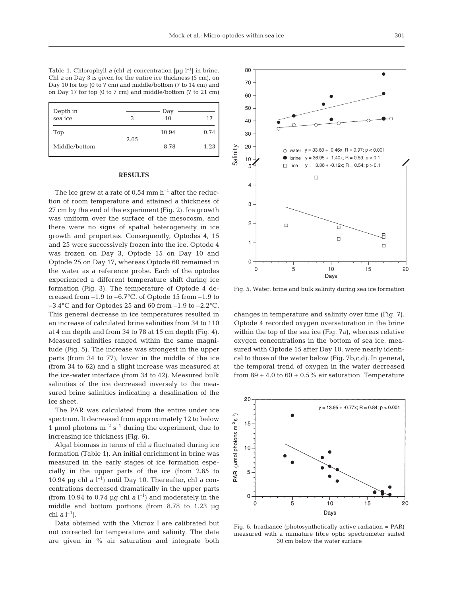Table 1. Chlorophyll *a* (chl *a*) concentration  $[\mu q]$ <sup>-1</sup>] in brine. Chl *a* on Day 3 is given for the entire ice thickness (5 cm), on Day 10 for top (0 to 7 cm) and middle/bottom (7 to 14 cm) and on Day 17 for top (0 to 7 cm) and middle/bottom (7 to 21 cm)

| Depth in<br>sea ice | 3    | Day<br>10 | 17   |
|---------------------|------|-----------|------|
| Top                 | 2.65 | 10.94     | 0.74 |
| Middle/bottom       |      | 8.78      | 1.23 |

### **RESULTS**

The ice grew at a rate of  $0.54$  mm  $h^{-1}$  after the reduction of room temperature and attained a thickness of 27 cm by the end of the experiment (Fig. 2). Ice growth was uniform over the surface of the mesocosm, and there were no signs of spatial heterogeneity in ice growth and properties. Consequently, Optodes 4, 15 and 25 were successively frozen into the ice. Optode 4 was frozen on Day 3, Optode 15 on Day 10 and Optode 25 on Day 17, whereas Optode 60 remained in the water as a reference probe. Each of the optodes experienced a different temperature shift during ice formation (Fig. 3). The temperature of Optode 4 decreased from  $-1.9$  to  $-6.7$ °C, of Optode 15 from  $-1.9$  to  $-3.4$ °C and for Optodes 25 and 60 from  $-1.9$  to  $-2.2$ °C. This general decrease in ice temperatures resulted in an increase of calculated brine salinities from 34 to 110 at 4 cm depth and from 34 to 78 at 15 cm depth (Fig. 4). Measured salinities ranged within the same magnitude (Fig. 5). The increase was strongest in the upper parts (from 34 to 77), lower in the middle of the ice (from 34 to 62) and a slight increase was measured at the ice-water interface (from 34 to 42). Measured bulk salinities of the ice decreased inversely to the measured brine salinities indicating a desalination of the ice sheet.

The PAR was calculated from the entire under ice spectrum. It decreased from approximately 12 to below 1 µmol photons  $m^{-2}$  s<sup>-1</sup> during the experiment, due to increasing ice thickness (Fig. 6).

Algal biomass in terms of chl *a* fluctuated during ice formation (Table 1). An initial enrichment in brine was measured in the early stages of ice formation especially in the upper parts of the ice (from 2.65 to 10.94 µg chl *a* l –1) until Day 10. Thereafter, chl *a* concentrations decreased dramatically in the upper parts (from 10.94 to 0.74  $\mu$ g chl *a* l<sup>-1</sup>) and moderately in the middle and bottom portions (from 8.78 to 1.23 µg chl *a*  $l^{-1}$ ).

Data obtained with the Microx I are calibrated but not corrected for temperature and salinity. The data are given in % air saturation and integrate both



Fig. 5. Water, brine and bulk salinity during sea ice formation

changes in temperature and salinity over time (Fig. 7). Optode 4 recorded oxygen oversaturation in the brine within the top of the sea ice (Fig. 7a), whereas relative oxygen concentrations in the bottom of sea ice, measured with Optode 15 after Day 10, were nearly identical to those of the water below (Fig. 7b,c,d). In general, the temporal trend of oxygen in the water decreased from  $89 \pm 4.0$  to  $60 \pm 0.5$ % air saturation. Temperature



Fig. 6. Irradiance (photosynthetically active radiation = PAR) measured with a miniature fibre optic spectrometer suited 30 cm below the water surface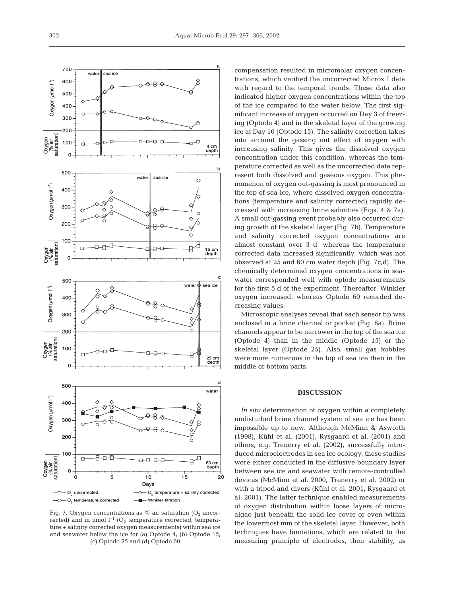

Fig. 7. Oxygen concentrations as % air saturation  $(O<sub>2</sub> uncor$ rected) and in  $\mu$ mol  $l^{-1}$  (O<sub>2</sub> temperature corrected; temperature + salinity corrected oxygen measurements) within sea ice and seawater below the ice for (a) Optode 4, (b) Optode 15, (c) Optode 25 and (d) Optode 60

compensation resulted in micromolar oxygen concentrations, which verified the uncorrected Microx I data with regard to the temporal trends. These data also indicated higher oxygen concentrations within the top of the ice compared to the water below. The first significant increase of oxygen occurred on Day 3 of freezing (Optode 4) and in the skeletal layer of the growing ice at Day 10 (Optode 15). The salinity correction takes into account the gassing out effect of oxygen with increasing salinity. This gives the dissolved oxygen concentration under this condition, whereas the temperature corrected as well as the uncorrected data represent both dissolved and gaseous oxygen. This phenomenon of oxygen out-gassing is most pronounced in the top of sea ice, where dissolved oxygen concentrations (temperature and salinity corrected) rapidly decreased with increasing brine salinities (Figs. 4 & 7a). A small out-gassing event probably also occurred during growth of the skeletal layer (Fig. 7b). Temperature and salinity corrected oxygen concentrations are almost constant over 3 d, whereas the temperature corrected data increased significantly, which was not observed at 25 and 60 cm water depth (Fig. 7c,d). The chemically determined oxygen concentrations in seawater corresponded well with optode measurements for the first 5 d of the experiment. Thereafter, Winkler oxygen increased, whereas Optode 60 recorded decreasing values.

Microscopic analyses reveal that each sensor tip was enclosed in a brine channel or pocket (Fig. 8a). Brine channels appear to be narrower in the top of the sea ice (Optode 4) than in the middle (Optode 15) or the skeletal layer (Optode 25). Also, small gas bubbles were more numerous in the top of sea ice than in the middle or bottom parts.

### **DISCUSSION**

*In situ* determination of oxygen within a completely undisturbed brine channel system of sea ice has been impossible up to now. Although McMinn & Asworth (1998), Kühl et al. (2001), Rysgaard et al. (2001) and others, e.g. Trenerry et al. (2002), successfully introduced microelectrodes in sea ice ecology, these studies were either conducted in the diffusive boundary layer between sea ice and seawater with remote-controlled devices (McMinn et al. 2000, Trenerry et al. 2002) or with a tripod and divers (Kühl et al. 2001, Rysgaard et al. 2001). The latter technique enabled measurements of oxygen distribution within loose layers of microalgae just beneath the solid ice cover or even within the lowermost mm of the skeletal layer. However, both techniques have limitations, which are related to the measuring principle of electrodes, their stability, as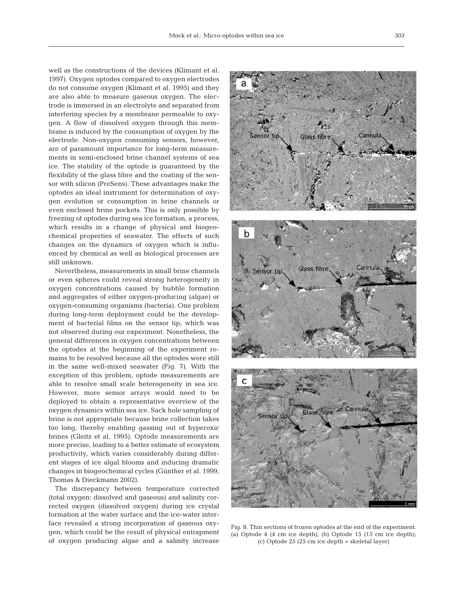well as the constructions of the devices (Klimant et al. 1997). Oxygen optodes compared to oxygen electrodes do not consume oxygen (Klimant et al. 1995) and they are also able to measure gaseous oxygen. The electrode is immersed in an electrolyte and separated from interfering species by a membrane permeable to oxygen. A flow of dissolved oxygen through this membrane is induced by the consumption of oxygen by the electrode. Non-oxygen consuming sensors, however, are of paramount importance for long-term measurements in semi-enclosed brine channel systems of sea ice. The stability of the optode is guaranteed by the flexibility of the glass fibre and the coating of the sensor with silicon (PreSens). These advantages make the optodes an ideal instrument for determination of oxygen evolution or consumption in brine channels or even enclosed brine pockets. This is only possible by freezing of optodes during sea ice formation, a process, which results in a change of physical and biogeochemical properties of seawater. The effects of such changes on the dynamics of oxygen which is influenced by chemical as well as biological processes are still unknown.

Nevertheless, measurements in small brine channels or even spheres could reveal strong heterogeneity in oxygen concentrations caused by bubble formation and aggregates of either oxygen-producing (algae) or oxygen-consuming organisms (bacteria). One problem during long-term deployment could be the development of bacterial films on the sensor tip, which was not observed during our experiment. Nonetheless, the general differences in oxygen concentrations between the optodes at the beginning of the experiment remains to be resolved because all the optodes were still in the same well-mixed seawater (Fig. 7). With the exception of this problem, optode measurements are able to resolve small scale heterogeneity in sea ice. However, more sensor arrays would need to be deployed to obtain a representative overview of the oxygen dynamics within sea ice. Sack hole sampling of brine is not appropriate because brine collection takes too long, thereby enabling gassing out of hyperoxic brines (Gleitz et al. 1995). Optode measurements are more precise, leading to a better estimate of ecosystem productivity, which varies considerably during different stages of ice algal blooms and inducing dramatic changes in biogeochemical cycles (Günther et al. 1999, Thomas & Dieckmann 2002).

The discrepancy between temperature corrected (total oxygen: dissolved and gaseous) and salinity corrected oxygen (dissolved oxygen) during ice crystal formation at the water surface and the ice-water interface revealed a strong incorporation of gaseous oxygen, which could be the result of physical entrapment of oxygen producing algae and a salinity increase



Fig. 8. Thin sections of frozen optodes at the end of the experiment. (a) Optode 4 (4 cm ice depth); (b) Optode 15 (15 cm ice depth); (c) Optode 25 (25 cm ice depth = skeletal layer)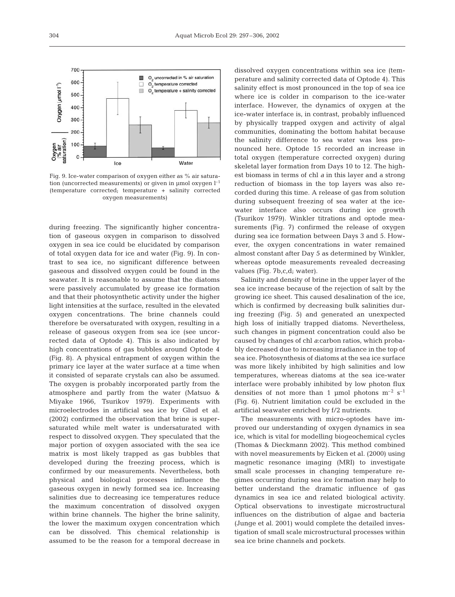

Fig. 9. Ice-water comparison of oxygen either as % air saturation (uncorrected measurements) or given in µmol oxygen  $l^{-1}$ (temperature corrected; temperature + salinity corrected oxygen measurements)

during freezing. The significantly higher concentration of gaseous oxygen in comparison to dissolved oxygen in sea ice could be elucidated by comparison of total oxygen data for ice and water (Fig. 9). In contrast to sea ice, no significant difference between gaseous and dissolved oxygen could be found in the seawater. It is reasonable to assume that the diatoms were passively accumulated by grease ice formation and that their photosynthetic activity under the higher light intensities at the surface, resulted in the elevated oxygen concentrations. The brine channels could therefore be oversaturated with oxygen, resulting in a release of gaseous oxygen from sea ice (see uncorrected data of Optode 4). This is also indicated by high concentrations of gas bubbles around Optode 4 (Fig. 8). A physical entrapment of oxygen within the primary ice layer at the water surface at a time when it consisted of separate crystals can also be assumed. The oxygen is probably incorporated partly from the atmosphere and partly from the water (Matsuo & Miyake 1966, Tsurikov 1979). Experiments with microelectrodes in artificial sea ice by Glud et al. (2002) confirmed the observation that brine is supersaturated while melt water is undersaturated with respect to dissolved oxygen. They speculated that the major portion of oxygen associated with the sea ice matrix is most likely trapped as gas bubbles that developed during the freezing process, which is confirmed by our measurements. Nevertheless, both physical and biological processes influence the gaseous oxygen in newly formed sea ice. Increasing salinities due to decreasing ice temperatures reduce the maximum concentration of dissolved oxygen within brine channels. The higher the brine salinity, the lower the maximum oxygen concentration which can be dissolved. This chemical relationship is assumed to be the reason for a temporal decrease in

dissolved oxygen concentrations within sea ice (temperature and salinity corrected data of Optode 4). This salinity effect is most pronounced in the top of sea ice where ice is colder in comparison to the ice-water interface. However, the dynamics of oxygen at the ice-water interface is, in contrast, probably influenced by physically trapped oxygen and activity of algal communities, dominating the bottom habitat because the salinity difference to sea water was less pronounced here. Optode 15 recorded an increase in total oxygen (temperature corrected oxygen) during skeletal layer formation from Days 10 to 12. The highest biomass in terms of chl *a* in this layer and a strong reduction of biomass in the top layers was also recorded during this time. A release of gas from solution during subsequent freezing of sea water at the icewater interface also occurs during ice growth (Tsurikov 1979). Winkler titrations and optode measurements (Fig. 7) confirmed the release of oxygen during sea ice formation between Days 3 and 5. However, the oxygen concentrations in water remained almost constant after Day 5 as determined by Winkler, whereas optode measurements revealed decreasing values (Fig. 7b,c,d; water).

Salinity and density of brine in the upper layer of the sea ice increase because of the rejection of salt by the growing ice sheet. This caused desalination of the ice, which is confirmed by decreasing bulk salinities during freezing (Fig. 5) and generated an unexpected high loss of initially trapped diatoms. Nevertheless, such changes in pigment concentration could also be caused by changes of chl *a*:carbon ratios, which probably decreased due to increasing irradiance in the top of sea ice. Photosynthesis of diatoms at the sea ice surface was more likely inhibited by high salinities and low temperatures, whereas diatoms at the sea ice-water interface were probably inhibited by low photon flux densities of not more than 1 µmol photons  $m^{-2} s^{-1}$ (Fig. 6). Nutrient limitation could be excluded in the artificial seawater enriched by f/2 nutrients.

The measurements with micro-optodes have improved our understanding of oxygen dynamics in sea ice, which is vital for modelling biogeochemical cycles (Thomas & Dieckmann 2002). This method combined with novel measurements by Eicken et al. (2000) using magnetic resonance imaging (MRI) to investigate small scale processes in changing temperature regimes occurring during sea ice formation may help to better understand the dramatic influence of gas dynamics in sea ice and related biological activity. Optical observations to investigate microstructural influences on the distribution of algae and bacteria (Junge et al. 2001) would complete the detailed investigation of small scale microstructural processes within sea ice brine channels and pockets.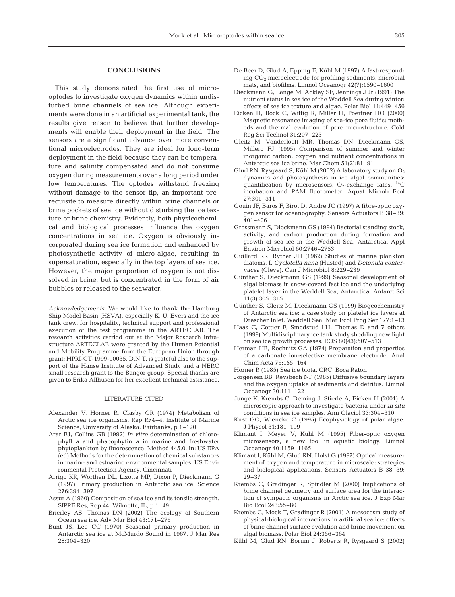#### **CONCLUSIONS**

This study demonstrated the first use of microoptodes to investigate oxygen dynamics within undisturbed brine channels of sea ice. Although experiments were done in an artificial experimental tank, the results give reason to believe that further developments will enable their deployment in the field. The sensors are a significant advance over more conventional microelectrodes. They are ideal for long-term deployment in the field because they can be temperature and salinity compensated and do not consume oxygen during measurements over a long period under low temperatures. The optodes withstand freezing without damage to the sensor tip, an important prerequisite to measure directly within brine channels or brine pockets of sea ice without disturbing the ice texture or brine chemistry. Evidently, both physicochemical and biological processes influence the oxygen concentrations in sea ice. Oxygen is obviously incorporated during sea ice formation and enhanced by photosynthetic activity of micro-algae, resulting in supersaturation, especially in the top layers of sea ice. However, the major proportion of oxygen is not dissolved in brine, but is concentrated in the form of air bubbles or released to the seawater.

*Acknowledgements.* We would like to thank the Hamburg Ship Model Basin (HSVA), especially K. U. Evers and the ice tank crew, for hospitality, technical support and professional execution of the test programme in the ARTECLAB. The research activities carried out at the Major Research Infrastructure ARTECLAB were granted by the Human Potential and Mobility Programme from the European Union through grant: HPRI-CT-1999-00035. D.N.T. is grateful also to the support of the Hanse Institute of Advanced Study and a NERC small research grant to the Bangor group. Special thanks are given to Erika Allhusen for her excellent technical assistance.

#### LITERATURE CITED

- Alexander V, Horner R, Clasby CR (1974) Metabolism of Arctic sea ice organisms, Rep R74–4. Institute of Marine Science, University of Alaska, Fairbanks, p 1–120
- Arar EJ, Collins GB (1992) *In vitro* determination of chlorophyll *a* and phaeophytin *a* in marine and freshwater phytoplankton by fluorescence. Method 445.0. In: US EPA (ed) Methods for the determination of chemical substances in marine and estuarine environmental samples. US Environmental Protection Agency, Cincinnati
- Arrigo KR, Worthen DL, Lizotte MP, Dixon P, Dieckmann G (1997) Primary production in Antarctic sea ice. Science 276:394–397
- Assur A (1960) Composition of sea ice and its tensile strength. SIPRE Res, Rep 44, Wilmette, IL, p 1–49
- Brierley AS, Thomas DN (2002) The ecology of Southern Ocean sea ice. Adv Mar Biol 43:171–276
- Bunt JS, Lee CC (1970) Seasonal primary production in Antarctic sea ice at McMurdo Sound in 1967. J Mar Res 28:304–320
- De Beer D, Glud A, Epping E, Kühl M (1997) A fast-responding CO2 microelectrode for profiling sediments, microbial mats, and biofilms. Limnol Oceanogr 42(7):1590–1600
- Dieckmann G, Lange M, Ackley SF, Jennings J Jr (1991) The nutrient status in sea ice of the Weddell Sea during winter: effects of sea ice texture and algae. Polar Biol 11:449–456
- Eicken H, Bock C, Wittig R, Miller H, Poertner HO (2000) Magnetic resonance imaging of sea-ice pore fluids: methods and thermal evolution of pore microstructure. Cold Reg Sci Technol 31:207–225
- Gleitz M, Vonderloeff MR, Thomas DN, Dieckmann GS, Millero FJ (1995) Comparison of summer and winter inorganic carbon, oxygen and nutrient concentrations in Antarctic sea ice brine. Mar Chem 51(2):81–91
- Glud RN, Rysgaard S, Kühl M (2002) A laboratory study on  $O_2$ dynamics and photosynthesis in ice algal communities: quantification by microsensors,  $O_2$ -exchange rates,  $^{14}C$ incubation and PAM fluorometer. Aquat Microb Ecol 27:301–311
- Gouin JF, Baros F, Birot D, Andre JC (1997) A fibre-optic oxygen sensor for oceanography. Sensors Actuators B 38–39: 401–406
- Grossmann S, Dieckmann GS (1994) Bacterial standing stock, activity, and carbon production during formation and growth of sea ice in the Weddell Sea, Antarctica. Appl Environ Microbiol 60:2746–2753
- Guillard RR, Ryther JH (1962) Studies of marine plankton diatoms. I. *Cyclotella nana* (Husted) and *Detonula confervacea* (Cleve). Can J Microbiol 8:229–239
- Günther S, Dieckmann GS (1999) Seasonal development of algal biomass in snow-coverd fast ice and the underlying platelet layer in the Weddell Sea, Antarctica. Antarct Sci 11(3):305–315
- Günther S, Gleitz M, Dieckmann GS (1999) Biogeochemistry of Antarctic sea ice: a case study on platelet ice layers at Drescher Inlet, Weddell Sea. Mar Ecol Prog Ser 177:1–13
- Haas C, Cottier F, Smedsrud LH, Thomas D and 7 others (1999) Multidisciplinary ice tank study shedding new light on sea ice growth processes. EOS 80(43):507–513
- Herman HB, Rechnitz GA (1974) Preparation and properties of a carbonate ion-selective membrane electrode. Anal Chim Acta 76:155–164
- Horner R (1985) Sea ice biota. CRC, Boca Raton
- Jörgensen BB, Revsbech NP (1985) Diffusive boundary layers and the oxygen uptake of sediments and detritus. Limnol Oceanogr 30:111–122
- Junge K, Krembs C, Deming J, Stierle A, Eicken H (2001) A microscopic approach to investigate bacteria under *in situ* conditions in sea ice samples. Ann Glaciol 33:304–310
- Kirst GO, Wiencke C (1995) Ecophysiology of polar algae. J Phycol 31:181–199
- Klimant I, Meyer V, Kühl M (1995) Fiber-optic oxygen microsensors, a new tool in aquatic biology. Limnol Oceanogr 40:1159–1165
- Klimant I, Kühl M, Glud RN, Holst G (1997) Optical measurement of oxygen and temperature in microscale: strategies and biological applications. Sensors Actuators B 38–39: 29–37
- Krembs C, Gradinger R, Spindler M (2000) Implications of brine channel geometry and surface area for the interaction of sympagic organisms in Arctic sea ice. J Exp Mar Bio Ecol 243:55–80
- Krembs C, Mock T, Gradinger R (2001) A mesocosm study of physical-biological interactions in artificial sea ice: effects of brine channel surface evolution and brine movement on algal biomass. Polar Biol 24:356–364
- Kühl M, Glud RN, Borum J, Roberts R, Rysgaard S (2002)